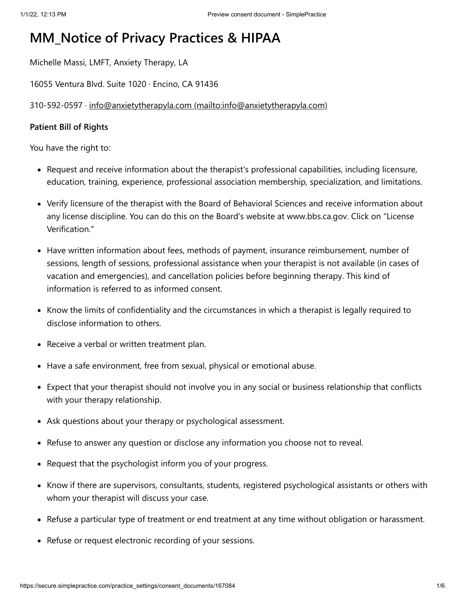# **MM\_Notice of Privacy Practices & HIPAA**

Michelle Massi, LMFT, Anxiety Therapy, LA

16055 Ventura Blvd. Suite 1020 · Encino, CA 91436

310-592-0597 · [info@anxietytherapyla.com \(mailto:info@anxietytherapyla.com\)](mailto:info@anxietytherapyla.com)

### **Patient Bill of Rights**

You have the right to:

- Request and receive information about the therapist's professional capabilities, including licensure, education, training, experience, professional association membership, specialization, and limitations.
- Verify licensure of the therapist with the Board of Behavioral Sciences and receive information about any license discipline. You can do this on the Board's website at www.bbs.ca.gov. Click on "License Verification."
- Have written information about fees, methods of payment, insurance reimbursement, number of sessions, length of sessions, professional assistance when your therapist is not available (in cases of vacation and emergencies), and cancellation policies before beginning therapy. This kind of information is referred to as informed consent.
- Know the limits of confidentiality and the circumstances in which a therapist is legally required to disclose information to others.
- Receive a verbal or written treatment plan.
- Have a safe environment, free from sexual, physical or emotional abuse.
- Expect that your therapist should not involve you in any social or business relationship that conflicts with your therapy relationship.
- Ask questions about your therapy or psychological assessment.
- Refuse to answer any question or disclose any information you choose not to reveal.
- Request that the psychologist inform you of your progress.
- Know if there are supervisors, consultants, students, registered psychological assistants or others with whom your therapist will discuss your case.
- Refuse a particular type of treatment or end treatment at any time without obligation or harassment.
- Refuse or request electronic recording of your sessions.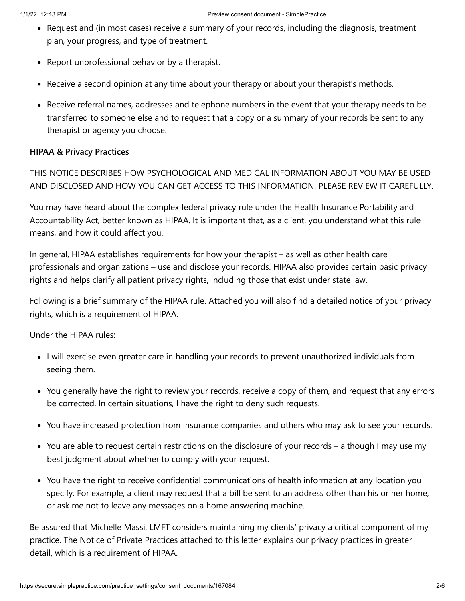- Request and (in most cases) receive a summary of your records, including the diagnosis, treatment plan, your progress, and type of treatment.
- Report unprofessional behavior by a therapist.
- Receive a second opinion at any time about your therapy or about your therapist's methods.
- Receive referral names, addresses and telephone numbers in the event that your therapy needs to be transferred to someone else and to request that a copy or a summary of your records be sent to any therapist or agency you choose.

# **HIPAA & Privacy Practices**

THIS NOTICE DESCRIBES HOW PSYCHOLOGICAL AND MEDICAL INFORMATION ABOUT YOU MAY BE USED AND DISCLOSED AND HOW YOU CAN GET ACCESS TO THIS INFORMATION. PLEASE REVIEW IT CAREFULLY.

You may have heard about the complex federal privacy rule under the Health Insurance Portability and Accountability Act, better known as HIPAA. It is important that, as a client, you understand what this rule means, and how it could affect you.

In general, HIPAA establishes requirements for how your therapist – as well as other health care professionals and organizations – use and disclose your records. HIPAA also provides certain basic privacy rights and helps clarify all patient privacy rights, including those that exist under state law.

Following is a brief summary of the HIPAA rule. Attached you will also find a detailed notice of your privacy rights, which is a requirement of HIPAA.

Under the HIPAA rules:

- I will exercise even greater care in handling your records to prevent unauthorized individuals from seeing them.
- You generally have the right to review your records, receive a copy of them, and request that any errors be corrected. In certain situations, I have the right to deny such requests.
- You have increased protection from insurance companies and others who may ask to see your records.
- You are able to request certain restrictions on the disclosure of your records although I may use my best judgment about whether to comply with your request.
- You have the right to receive confidential communications of health information at any location you specify. For example, a client may request that a bill be sent to an address other than his or her home, or ask me not to leave any messages on a home answering machine.

Be assured that Michelle Massi, LMFT considers maintaining my clients' privacy a critical component of my practice. The Notice of Private Practices attached to this letter explains our privacy practices in greater detail, which is a requirement of HIPAA.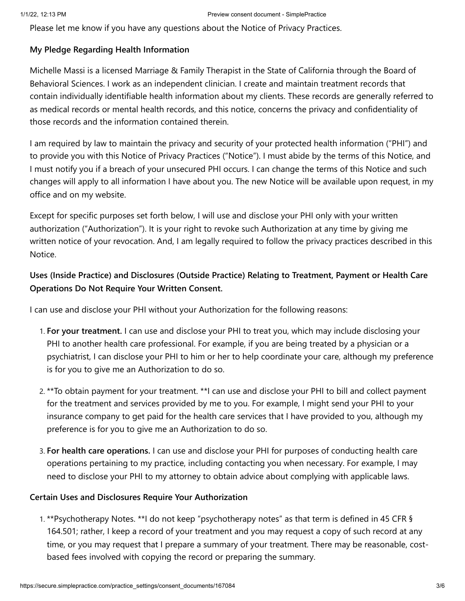Please let me know if you have any questions about the Notice of Privacy Practices.

### **My Pledge Regarding Health Information**

Michelle Massi is a licensed Marriage & Family Therapist in the State of California through the Board of Behavioral Sciences. I work as an independent clinician. I create and maintain treatment records that contain individually identifiable health information about my clients. These records are generally referred to as medical records or mental health records, and this notice, concerns the privacy and confidentiality of those records and the information contained therein.

I am required by law to maintain the privacy and security of your protected health information ("PHI") and to provide you with this Notice of Privacy Practices ("Notice"). I must abide by the terms of this Notice, and I must notify you if a breach of your unsecured PHI occurs. I can change the terms of this Notice and such changes will apply to all information I have about you. The new Notice will be available upon request, in my office and on my website.

Except for specific purposes set forth below, I will use and disclose your PHI only with your written authorization ("Authorization"). It is your right to revoke such Authorization at any time by giving me written notice of your revocation. And, I am legally required to follow the privacy practices described in this Notice.

# **Uses (Inside Practice) and Disclosures (Outside Practice) Relating to Treatment, Payment or Health Care Operations Do Not Require Your Written Consent.**

I can use and disclose your PHI without your Authorization for the following reasons:

- 1. **For your treatment.** I can use and disclose your PHI to treat you, which may include disclosing your PHI to another health care professional. For example, if you are being treated by a physician or a psychiatrist, I can disclose your PHI to him or her to help coordinate your care, although my preference is for you to give me an Authorization to do so.
- 2. \*\*To obtain payment for your treatment. \*\*I can use and disclose your PHI to bill and collect payment for the treatment and services provided by me to you. For example, I might send your PHI to your insurance company to get paid for the health care services that I have provided to you, although my preference is for you to give me an Authorization to do so.
- 3. **For health care operations.** I can use and disclose your PHI for purposes of conducting health care operations pertaining to my practice, including contacting you when necessary. For example, I may need to disclose your PHI to my attorney to obtain advice about complying with applicable laws.

# **Certain Uses and Disclosures Require Your Authorization**

1. \*\*Psychotherapy Notes. \*\*I do not keep "psychotherapy notes" as that term is defined in 45 CFR § 164.501; rather, I keep a record of your treatment and you may request a copy of such record at any time, or you may request that I prepare a summary of your treatment. There may be reasonable, costbased fees involved with copying the record or preparing the summary.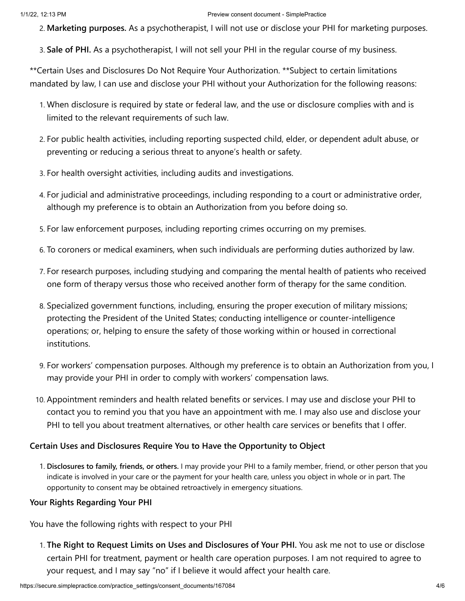#### 1/1/22, 12:13 PM Preview consent document - SimplePractice

2. **Marketing purposes.** As a psychotherapist, I will not use or disclose your PHI for marketing purposes.

3. **Sale of PHI.** As a psychotherapist, I will not sell your PHI in the regular course of my business.

\*\*Certain Uses and Disclosures Do Not Require Your Authorization. \*\*Subject to certain limitations mandated by law, I can use and disclose your PHI without your Authorization for the following reasons:

- 1. When disclosure is required by state or federal law, and the use or disclosure complies with and is limited to the relevant requirements of such law.
- 2. For public health activities, including reporting suspected child, elder, or dependent adult abuse, or preventing or reducing a serious threat to anyone's health or safety.
- 3. For health oversight activities, including audits and investigations.
- 4. For judicial and administrative proceedings, including responding to a court or administrative order, although my preference is to obtain an Authorization from you before doing so.
- 5. For law enforcement purposes, including reporting crimes occurring on my premises.
- 6. To coroners or medical examiners, when such individuals are performing duties authorized by law.
- 7. For research purposes, including studying and comparing the mental health of patients who received one form of therapy versus those who received another form of therapy for the same condition.
- 8. Specialized government functions, including, ensuring the proper execution of military missions; protecting the President of the United States; conducting intelligence or counter-intelligence operations; or, helping to ensure the safety of those working within or housed in correctional institutions.
- 9. For workers' compensation purposes. Although my preference is to obtain an Authorization from you, I may provide your PHI in order to comply with workers' compensation laws.
- 10. Appointment reminders and health related benefits or services. I may use and disclose your PHI to contact you to remind you that you have an appointment with me. I may also use and disclose your PHI to tell you about treatment alternatives, or other health care services or benefits that I offer.

### **Certain Uses and Disclosures Require You to Have the Opportunity to Object**

1. **Disclosures to family, friends, or others.** I may provide your PHI to a family member, friend, or other person that you indicate is involved in your care or the payment for your health care, unless you object in whole or in part. The opportunity to consent may be obtained retroactively in emergency situations.

### **Your Rights Regarding Your PHI**

You have the following rights with respect to your PHI

1. **The Right to Request Limits on Uses and Disclosures of Your PHI.** You ask me not to use or disclose certain PHI for treatment, payment or health care operation purposes. I am not required to agree to your request, and I may say "no" if I believe it would affect your health care.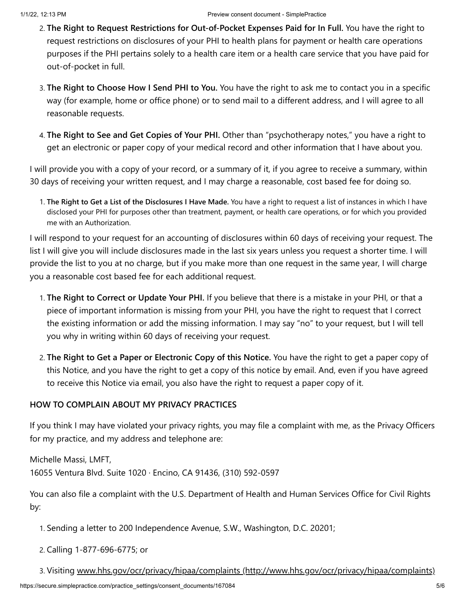- 2. **The Right to Request Restrictions for Out-of-Pocket Expenses Paid for In Full.** You have the right to request restrictions on disclosures of your PHI to health plans for payment or health care operations purposes if the PHI pertains solely to a health care item or a health care service that you have paid for out-of-pocket in full.
- 3. **The Right to Choose How I Send PHI to You.** You have the right to ask me to contact you in a specific way (for example, home or office phone) or to send mail to a different address, and I will agree to all reasonable requests.
- 4. **The Right to See and Get Copies of Your PHI.** Other than "psychotherapy notes," you have a right to get an electronic or paper copy of your medical record and other information that I have about you.

I will provide you with a copy of your record, or a summary of it, if you agree to receive a summary, within 30 days of receiving your written request, and I may charge a reasonable, cost based fee for doing so.

1. **The Right to Get a List of the Disclosures I Have Made.** You have a right to request a list of instances in which I have disclosed your PHI for purposes other than treatment, payment, or health care operations, or for which you provided me with an Authorization.

I will respond to your request for an accounting of disclosures within 60 days of receiving your request. The list I will give you will include disclosures made in the last six years unless you request a shorter time. I will provide the list to you at no charge, but if you make more than one request in the same year, I will charge you a reasonable cost based fee for each additional request.

- 1. **The Right to Correct or Update Your PHI.** If you believe that there is a mistake in your PHI, or that a piece of important information is missing from your PHI, you have the right to request that I correct the existing information or add the missing information. I may say "no" to your request, but I will tell you why in writing within 60 days of receiving your request.
- 2. **The Right to Get a Paper or Electronic Copy of this Notice.** You have the right to get a paper copy of this Notice, and you have the right to get a copy of this notice by email. And, even if you have agreed to receive this Notice via email, you also have the right to request a paper copy of it.

# **HOW TO COMPLAIN ABOUT MY PRIVACY PRACTICES**

If you think I may have violated your privacy rights, you may file a complaint with me, as the Privacy Officers for my practice, and my address and telephone are:

Michelle Massi, LMFT,

16055 Ventura Blvd. Suite 1020 · Encino, CA 91436, (310) 592-0597

You can also file a complaint with the U.S. Department of Health and Human Services Office for Civil Rights by:

1. Sending a letter to 200 Independence Avenue, S.W., Washington, D.C. 20201;

2. Calling 1-877-696-6775; or

3. Visiting [www.hhs.gov/ocr/privacy/hipaa/complaints \(http://www.hhs.gov/ocr/privacy/hipaa/complaints\)](http://www.hhs.gov/ocr/privacy/hipaa/complaints)